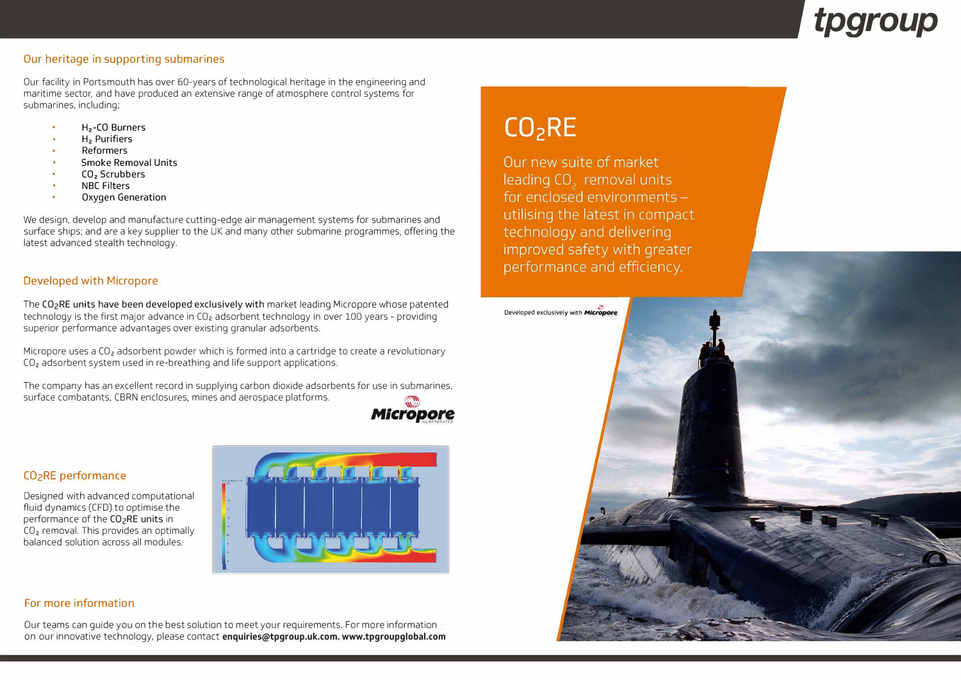#### **Our heritage in supporting submarines**

Our facility in Portsmouth has over 60-years of technological heritage in the engineering and maritime sector, and have produced an extensive range of atmosphere control systems for submarines, including;

- . **<sup>H</sup>2-CO Burners**
- **H2 Purifiers**
- . **Reformers**
- **Smoke Removal Units** . **CO2 Scrubbers**
- 
- **NBC Filters**
- . **Oxygen Generation**

We design, develop and manufacture cutting-edge air management systems for submarines and surface ships; and are a key supplier to the UK and many other submarine programmes, offering the latest advanced stealth technology.

Micropore uses a CO<sub>2</sub> adsorbent powder which is formed into a cartridge to create a revolutionary CO2 adsorbent system used in re-breathing and life support applications.

The company has an excellent record in supplying carbon dioxide adsorbents for use in submarines, surface combatants, CBRN enclosures, mines and aerospace platforms.



#### **Developed with Micropore**

The **CO2RE units have been developed exclusively with** market leading Micropore whose patented technology is the first major advance in CO<sub>2</sub> adsorbent technology in over 100 years - providing superior performance advantages over existing granular adsorbents.

#### **C02RE performance**

Designed with advanced computational fluid dynamics (CFO) to optimise the performance of the CO<sub>2</sub>RE units in CO2 removal. This provides an optimally balanced solution across all modules.



#### **For more information**

Our teams can guide you on the best solution to meet your requirements. For more information on our innovative technology, please **contactenquiries@tpgroup.uk.com. www.tpgroupglobal.com**

# $CO<sub>2</sub>RE$

Our new suite of market leading CO<sub>2</sub> removal units for enclosed environments utilising the latest in compact technology and delivering improved safety with greater performance and efficiency.